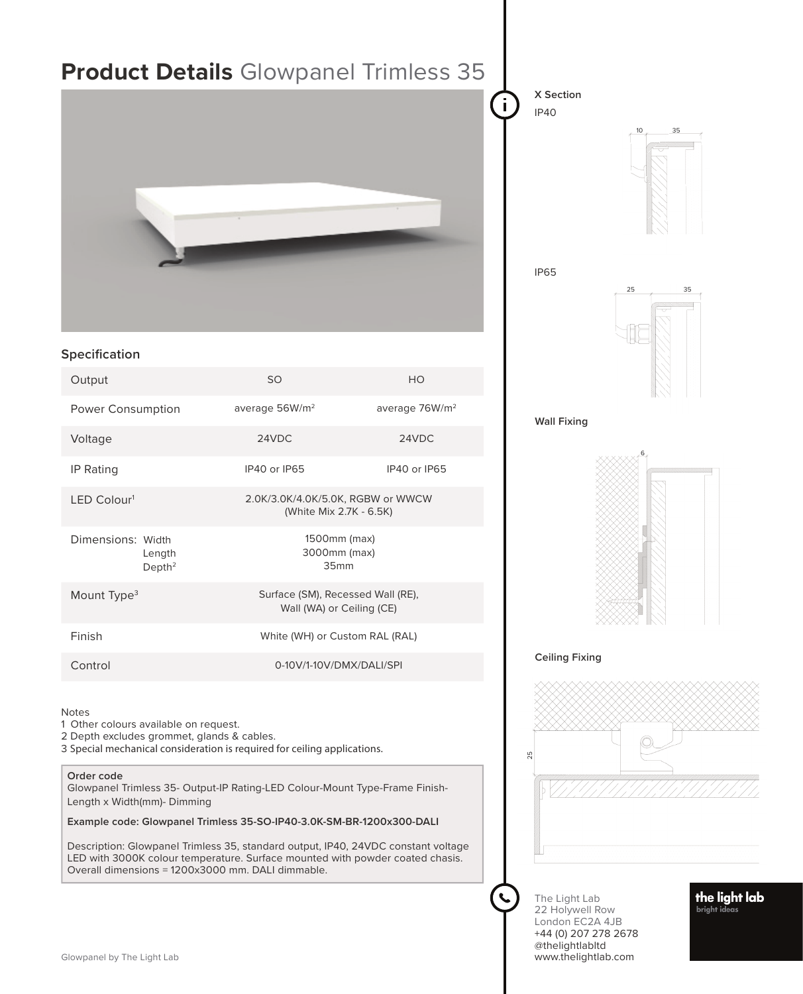| <b>Product Details</b> Glowpanel Trimless 35                                                                                                                                                                                               |                                                                |                            | X Section<br><b>IP40</b><br>35<br><b>IP65</b><br>25<br>35 |
|--------------------------------------------------------------------------------------------------------------------------------------------------------------------------------------------------------------------------------------------|----------------------------------------------------------------|----------------------------|-----------------------------------------------------------|
|                                                                                                                                                                                                                                            |                                                                |                            |                                                           |
| Specification                                                                                                                                                                                                                              |                                                                |                            |                                                           |
| Output                                                                                                                                                                                                                                     | SO                                                             | HO                         |                                                           |
| Power Consumption                                                                                                                                                                                                                          | average 56W/m <sup>2</sup>                                     | average 76W/m <sup>2</sup> | <b>Wall Fixing</b>                                        |
| Voltage                                                                                                                                                                                                                                    | 24VDC                                                          | 24VDC                      |                                                           |
| IP Rating                                                                                                                                                                                                                                  | IP40 or IP65                                                   | IP40 or IP65               |                                                           |
| LED Colour1                                                                                                                                                                                                                                | 2.0K/3.0K/4.0K/5.0K, RGBW or WWCW<br>(White Mix 2.7K - 6.5K)   |                            |                                                           |
| Dimensions: Width<br>Length<br>Depth <sup>2</sup>                                                                                                                                                                                          | 1500mm (max)<br>3000mm (max)<br>35mm                           |                            |                                                           |
| Mount Type <sup>3</sup>                                                                                                                                                                                                                    | Surface (SM), Recessed Wall (RE),<br>Wall (WA) or Ceiling (CE) |                            |                                                           |
| Finish                                                                                                                                                                                                                                     | White (WH) or Custom RAL (RAL)                                 |                            |                                                           |
| Control                                                                                                                                                                                                                                    | 0-10V/1-10V/DMX/DALI/SPI                                       |                            | <b>Ceiling Fixing</b>                                     |
| <b>Notes</b><br>1 Other colours available on request.<br>2 Depth excludes grommet, glands & cables.<br>3 Special mechanical consideration is required for ceiling applications.<br>Order code                                              |                                                                |                            | 25                                                        |
| Glowpanel Trimless 35- Output-IP Rating-LED Colour-Mount Type-Frame Finish-<br>Length x Width(mm)- Dimming                                                                                                                                 |                                                                |                            |                                                           |
| Example code: Glowpanel Trimless 35-SO-IP40-3.0K-SM-BR-1200x300-DALI<br>Description: Glowpanel Trimless 35, standard output, IP40, 24VDC constant voltage<br>LED with 3000K colour temperature. Surface mounted with powder coated chasis. |                                                                |                            |                                                           |

The Light Lab 22 Holywell Row London EC2A 4JB +44 (0) 207 278 2678 @thelightlabltd www.thelightlab.com

 $\mathbf{C}$ 

**the light lab**<br><sub>bright ideas</sub>

Overall dimensions = 1200x3000 mm. DALI dimmable.